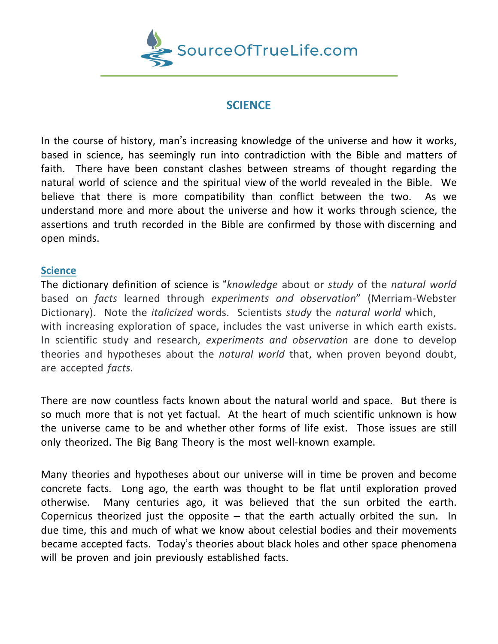

# **SCIENCE**

In the course of history, man's increasing knowledge of the universe and how it works, based in science, has seemingly run into contradiction with the Bible and matters of faith. There have been constant clashes between streams of thought regarding the natural world of science and the spiritual view of the world revealed in the Bible. We believe that there is more compatibility than conflict between the two. As we understand more and more about the universe and how it works through science, the assertions and truth recorded in the Bible are confirmed by those with discerning and open minds.

#### **Science**

The dictionary definition of science is "*knowledge* about or *study* of the *natural world* based on *facts* learned through *experiments and observation*" (Merriam-Webster Dictionary). Note the *italicized* words. Scientists *study* the *natural world* which, with increasing exploration of space, includes the vast universe in which earth exists. In scientific study and research, *experiments and observation* are done to develop theories and hypotheses about the *natural world* that, when proven beyond doubt, are accepted *facts.*

There are now countless facts known about the natural world and space. But there is so much more that is not yet factual. At the heart of much scientific unknown is how the universe came to be and whether other forms of life exist. Those issues are still only theorized. The Big Bang Theory is the most well-known example.

Many theories and hypotheses about our universe will in time be proven and become concrete facts. Long ago, the earth was thought to be flat until exploration proved otherwise. Many centuries ago, it was believed that the sun orbited the earth. Copernicus theorized just the opposite  $-$  that the earth actually orbited the sun. In due time, this and much of what we know about celestial bodies and their movements became accepted facts. Today's theories about black holes and other space phenomena will be proven and join previously established facts.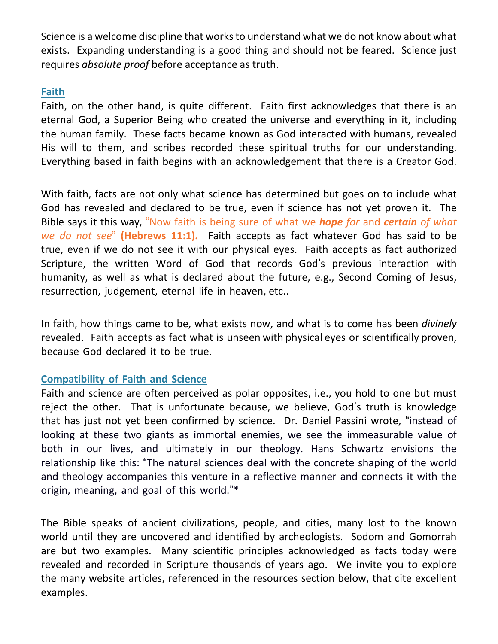Science is a welcome discipline that works to understand what we do not know about what exists. Expanding understanding is a good thing and should not be feared. Science just requires *absolute proof* before acceptance as truth.

### **Faith**

Faith, on the other hand, is quite different. Faith first acknowledges that there is an eternal God, a Superior Being who created the universe and everything in it, including the human family. These facts became known as God interacted with humans, revealed His will to them, and scribes recorded these spiritual truths for our understanding. Everything based in faith begins with an acknowledgement that there is a Creator God.

With faith, facts are not only what science has determined but goes on to include what God has revealed and declared to be true, even if science has not yet proven it. The Bible says it this way, "Now faith is being sure of what we *hope for* and *certain of what we do not see*" **(Hebrews 11:1).** Faith accepts as fact whatever God has said to be true, even if we do not see it with our physical eyes. Faith accepts as fact authorized Scripture, the written Word of God that records God's previous interaction with humanity, as well as what is declared about the future, e.g., Second Coming of Jesus, resurrection, judgement, eternal life in heaven, etc..

In faith, how things came to be, what exists now, and what is to come has been *divinely* revealed. Faith accepts as fact what is unseen with physical eyes or scientifically proven, because God declared it to be true.

## **Compatibility of Faith and Science**

Faith and science are often perceived as polar opposites, i.e., you hold to one but must reject the other. That is unfortunate because, we believe, God's truth is knowledge that has just not yet been confirmed by science. Dr. Daniel Passini wrote, "instead of looking at these two giants as immortal enemies, we see the immeasurable value of both in our lives, and ultimately in our theology. Hans Schwartz envisions the relationship like this: "The natural sciences deal with the concrete shaping of the world and theology accompanies this venture in a reflective manner and connects it with the origin, meaning, and goal of this world."\*

The Bible speaks of ancient civilizations, people, and cities, many lost to the known world until they are uncovered and identified by archeologists. Sodom and Gomorrah are but two examples. Many scientific principles acknowledged as facts today were revealed and recorded in Scripture thousands of years ago. We invite you to explore the many website articles, referenced in the resources section below, that cite excellent examples.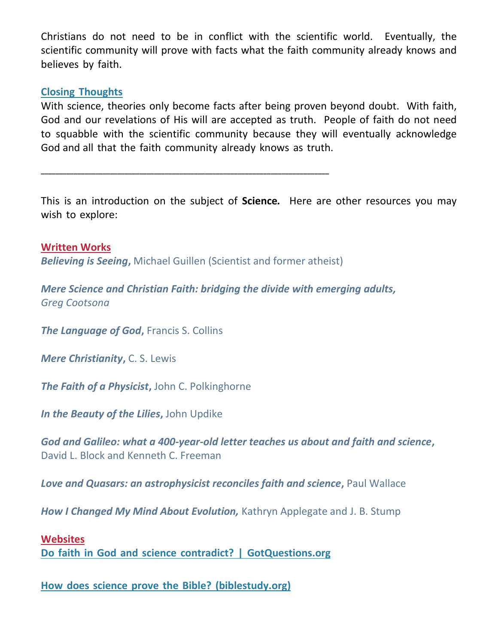Christians do not need to be in conflict with the scientific world. Eventually, the scientific community will prove with facts what the faith community already knows and believes by faith.

### **Closing Thoughts**

With science, theories only become facts after being proven beyond doubt. With faith, God and our revelations of His will are accepted as truth. People of faith do not need to squabble with the scientific community because they will eventually acknowledge God and all that the faith community already knows as truth.

This is an introduction on the subject of **Science***.* Here are other resources you may wish to explore:

**Written Works** *Believing is Seeing***,** Michael Guillen (Scientist and former atheist)

**\_\_\_\_\_\_\_\_\_\_\_\_\_\_\_\_\_\_\_\_\_\_\_\_\_\_\_\_\_\_\_\_\_\_\_\_\_\_\_\_\_\_\_\_\_\_\_\_\_\_\_\_\_\_\_\_\_\_\_\_\_\_\_\_\_\_\_\_\_\_\_\_\_\_\_\_\_\_\_**

*Mere Science and Christian Faith: bridging the divide with emerging adults, Greg Cootsona*

*The Language of God, Francis S. Collins* 

*Mere Christianity***,** C. S. Lewis

*The Faith of a Physicist***,** John C. Polkinghorne

*In the Beauty of the Lilies***,** John Updike

*God and Galileo: what a 400-year-old letter teaches us about and faith and science***,**  David L. Block and Kenneth C. Freeman

**Love and Quasars: an astrophysicist reconciles faith and science, Paul Wallace** 

*How I Changed My Mind About Evolution,* Kathryn Applegate and J. B. Stump

#### **Websites**

**Do faith in God and science contradict? | [GotQuestions.org](https://www.gotquestions.org/science-God.html)**

**How does science prove the Bible? [\(biblestudy.org\)](https://www.biblestudy.org/bible-study-by-topic/science-and-the-bible.html)**